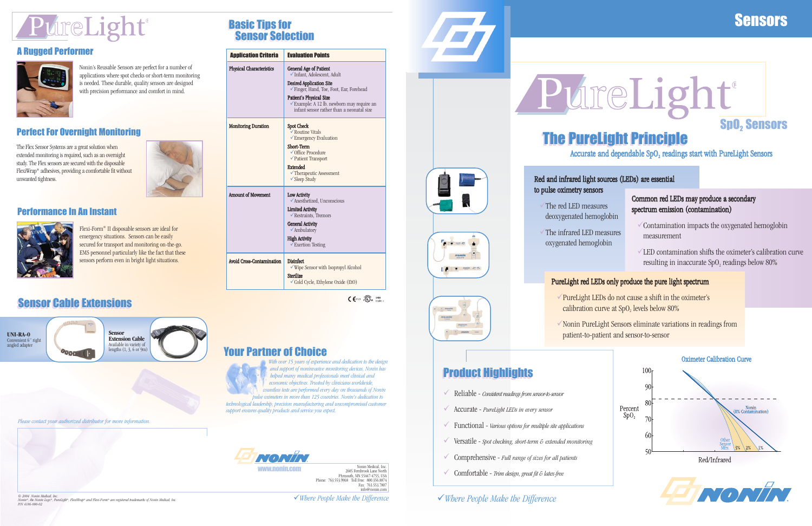# PureLight®

## A Rugged Performer



Nonin's Reusable Sensors are perfect for a number of applications where spot checks or short-term monitoring is needed. These durable, quality sensors are designed with precision performance and comfort in mind.

### Performance In An Instant



Flexi-Form*®* II disposable sensors are ideal for emergency situations. Sensors can be easily secured for transport and monitoring on-the-go. EMS personnel particularly like the fact that these sensors perform even in bright light situations.

## **Sensor Cable Extensions**

# Sensors

<sup>9</sup>*Where People Make the Difference*

*© 2004 Nonin Medical, Inc. Nonin®, the Nonin Logo®, PureLight®, FlexiWrap® and Flexi-Form® are registered trademarks of Nonin Medical, Inc. P/N 4186-000-02*

Nonin Medical, Inc. 2605 Fernbrook Lane North Plymouth, MN 55447-4755, USA Phone: 763.553.9968 Toll Free: 800.356.8874 Fax: 763.553.7807 info@nonin.com







<sup>9</sup>*Where People Make the Difference*

## Your Partner of Choice



*With over 15 years of experience and dedication to the design and support of noninvasive monitoring devices, Nonin has helped many medical professionals meet clinical and economic objectives. Trusted by clinicians worldwide, countless tests are performed every day on thousands of Nonin pulse oximeters in more than 125 countries. Nonin's dedication to*

- The red LED measures deoxygenated hemoglobin
- The infrared LED measures oxygenated hemoglobin

*technological leadership, precision manufacturing and uncompromised customer support ensures quality products and service you expect.*



*Please contact your authorized distributor for more information.*

## Perfect For Overnight Monitoring

- $\sqrt{\frac{P}{P}}$ PureLight LEDs do not cause a shift in the oximeter's calibration curve at  $SpO<sub>2</sub>$  levels below 80%
- $\sqrt{2}$  Nonin PureLight Sensors eliminate variations in readings from patient-to-patient and sensor-to-sensor

# **Product Highlights**

# **SpO<sub>2</sub>** Sensors ®

- $\checkmark$ Reliable - *Consistent readings from sensor-to-sensor*
- 9 Accurate *PureLight LEDs in every sensor*
- 9 Functional *Various options for multiple site applications*
- 9 Versatile *Spot checking, short-term & extended monitoring*
- $\checkmark$ Comprehensive - *Full range of sizes for all patients*
- **WWW.NONIN.COM MEXICAL SUBSERVIDE AND MANUS AND MANUS (NOT DESCRIPTION OF A 2005 Femino weares)**<br>Plymouth. MN 55447-4755. ISA

The Flex Sensor Systems are a great solution when extended monitoring is required, such as an overnight study. The Flex sensors are secured with the disposable FlexiWrap*®* adhesives, providing a comfortable fit without unwanted tightness.





Accurate and dependable  $SpO<sub>2</sub>$  readings start with PureLight Sensors

- 
- 





# Basic Tips for Basic Tips for Sensor Selection Sensor Selection

| <b>Application Criteria</b>     | <b>Evaluation Points</b>                                                                                                                                                                                                                                         |  |  |  |  |
|---------------------------------|------------------------------------------------------------------------------------------------------------------------------------------------------------------------------------------------------------------------------------------------------------------|--|--|--|--|
| <b>Physical Characteristics</b> | General Age of Patient<br>Infant, Adolescent, Adult<br><b>Desired Application Site</b><br>Finger, Hand, Toe, Foot, Ear, Forehead<br>Patient's Physical Size<br><del></del> Example: A 12 lb. newborn may require an<br>infant sensor rather than a neonatal size |  |  |  |  |
| <b>Monitoring Duration</b>      | <b>Spot Check</b><br>✔ Routine Vitals<br>Emergency Evaluation<br>Short-Term<br>√Office Procedure<br>✔ Patient Transport<br><b>Extended</b><br>✔ Therapeutic Assessment<br>$\checkmark$ Sleep Study                                                               |  |  |  |  |
| <b>Amount of Movement</b>       | Low Activity<br>◆ Anesthetized, Unconscious<br><b>Limited Activity</b><br>$\checkmark$ Restraints, Tremors<br><b>General Activity</b><br>✔ Ambulatory<br><b>High Activity</b><br>$\checkmark$ Exertion Testing                                                   |  |  |  |  |
| Avoid Cross-Contamination       | <b>Disinfect</b><br>$\checkmark$ Wipe Sensor with Isopropyl Alcohol<br><b>Sterilize</b><br>$\checkmark$ Cold Cycle, Ethylene Oxide (EtO)                                                                                                                         |  |  |  |  |
|                                 |                                                                                                                                                                                                                                                                  |  |  |  |  |

 $\mathsf{C}$   $\mathsf{C}^{0123}$   $\mathsf{C}$   $\mathsf{C}$   $\mathsf{D}^{\text{SSEM}}$  30EM

### Red and infrared light sources (LEDs) are essential to pulse oximetry sensors

#### Common red LEDs may produce a secondary spectrum emission (contamination)

- $\checkmark$  Contamination impacts the oxygenated hemoglobin measurement
- $\sqrt{LED}$  contamination shifts the oximeter's calibration curve resulting in inaccurate  $SpO<sub>2</sub>$  readings below 80%

### PureLight red LEDs only produce the pure light spectrum